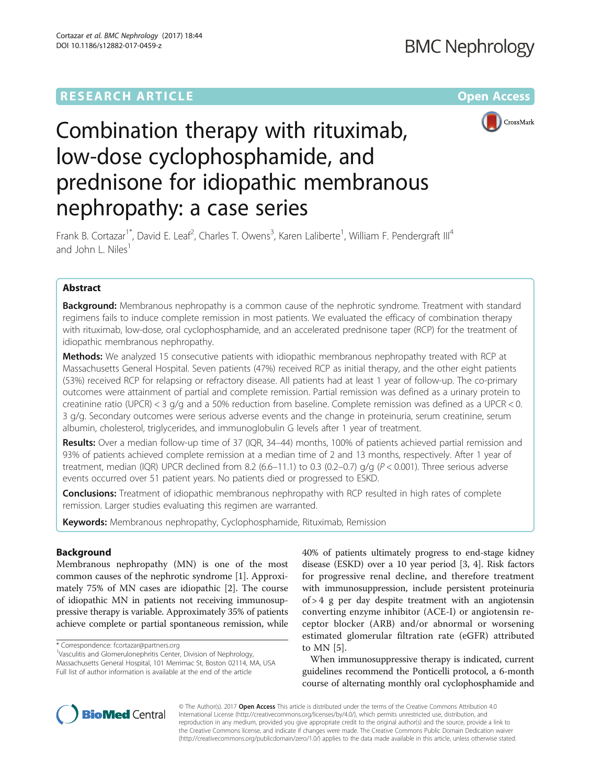## **RESEARCH ARTICLE Example 2014 12:30 The Contract of Contract ACCESS**



# Combination therapy with rituximab, low-dose cyclophosphamide, and prednisone for idiopathic membranous nephropathy: a case series

Frank B. Cortazar<sup>1\*</sup>, David E. Leaf<sup>2</sup>, Charles T. Owens<sup>3</sup>, Karen Laliberte<sup>1</sup>, William F. Pendergraft III<sup>4</sup> and John L. Niles<sup>1</sup>

## Abstract

Background: Membranous nephropathy is a common cause of the nephrotic syndrome. Treatment with standard regimens fails to induce complete remission in most patients. We evaluated the efficacy of combination therapy with rituximab, low-dose, oral cyclophosphamide, and an accelerated prednisone taper (RCP) for the treatment of idiopathic membranous nephropathy.

Methods: We analyzed 15 consecutive patients with idiopathic membranous nephropathy treated with RCP at Massachusetts General Hospital. Seven patients (47%) received RCP as initial therapy, and the other eight patients (53%) received RCP for relapsing or refractory disease. All patients had at least 1 year of follow-up. The co-primary outcomes were attainment of partial and complete remission. Partial remission was defined as a urinary protein to creatinine ratio (UPCR) < 3 g/g and a 50% reduction from baseline. Complete remission was defined as a UPCR < 0. 3 g/g. Secondary outcomes were serious adverse events and the change in proteinuria, serum creatinine, serum albumin, cholesterol, triglycerides, and immunoglobulin G levels after 1 year of treatment.

Results: Over a median follow-up time of 37 (IQR, 34–44) months, 100% of patients achieved partial remission and 93% of patients achieved complete remission at a median time of 2 and 13 months, respectively. After 1 year of treatment, median (IQR) UPCR declined from 8.2 (6.6–11.1) to 0.3 (0.2–0.7)  $q/q$  ( $P < 0.001$ ). Three serious adverse events occurred over 51 patient years. No patients died or progressed to ESKD.

**Conclusions:** Treatment of idiopathic membranous nephropathy with RCP resulted in high rates of complete remission. Larger studies evaluating this regimen are warranted.

**Keywords:** Membranous nephropathy, Cyclophosphamide, Rituximab, Remission

## Background

Membranous nephropathy (MN) is one of the most common causes of the nephrotic syndrome [\[1](#page-8-0)]. Approximately 75% of MN cases are idiopathic [\[2](#page-8-0)]. The course of idiopathic MN in patients not receiving immunosuppressive therapy is variable. Approximately 35% of patients achieve complete or partial spontaneous remission, while

\* Correspondence: [fcortazar@partners.org](mailto:fcortazar@partners.org) <sup>1</sup>

<sup>1</sup>Vasculitis and Glomerulonephritis Center, Division of Nephrology, Massachusetts General Hospital, 101 Merrimac St, Boston 02114, MA, USA Full list of author information is available at the end of the article

40% of patients ultimately progress to end-stage kidney disease (ESKD) over a 10 year period [\[3](#page-8-0), [4](#page-8-0)]. Risk factors for progressive renal decline, and therefore treatment with immunosuppression, include persistent proteinuria of > 4 g per day despite treatment with an angiotensin converting enzyme inhibitor (ACE-I) or angiotensin receptor blocker (ARB) and/or abnormal or worsening estimated glomerular filtration rate (eGFR) attributed to MN [[5](#page-8-0)].

When immunosuppressive therapy is indicated, current guidelines recommend the Ponticelli protocol, a 6-month course of alternating monthly oral cyclophosphamide and



© The Author(s). 2017 **Open Access** This article is distributed under the terms of the Creative Commons Attribution 4.0 International License [\(http://creativecommons.org/licenses/by/4.0/](http://creativecommons.org/licenses/by/4.0/)), which permits unrestricted use, distribution, and reproduction in any medium, provided you give appropriate credit to the original author(s) and the source, provide a link to the Creative Commons license, and indicate if changes were made. The Creative Commons Public Domain Dedication waiver [\(http://creativecommons.org/publicdomain/zero/1.0/](http://creativecommons.org/publicdomain/zero/1.0/)) applies to the data made available in this article, unless otherwise stated.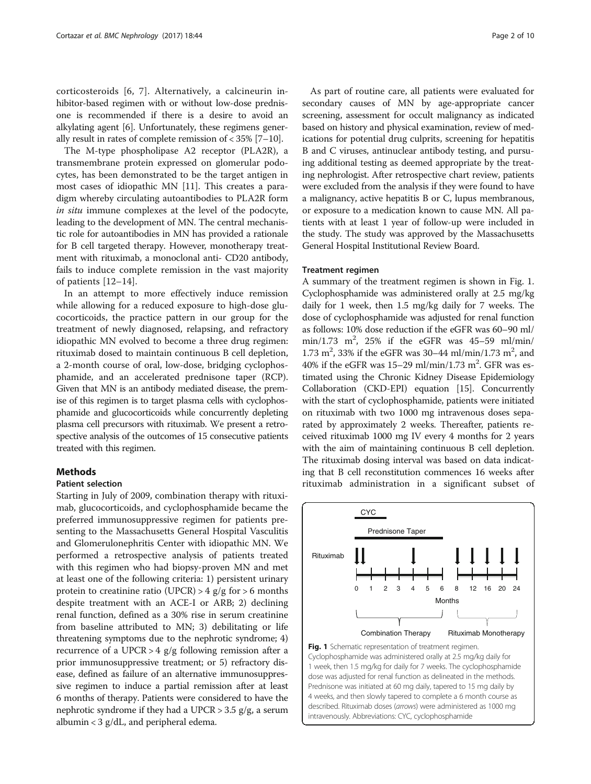corticosteroids [[6](#page-8-0), [7](#page-8-0)]. Alternatively, a calcineurin inhibitor-based regimen with or without low-dose prednisone is recommended if there is a desire to avoid an alkylating agent [\[6](#page-8-0)]. Unfortunately, these regimens generally result in rates of complete remission of < 35% [\[7](#page-8-0)–[10](#page-8-0)].

The M-type phospholipase A2 receptor (PLA2R), a transmembrane protein expressed on glomerular podocytes, has been demonstrated to be the target antigen in most cases of idiopathic MN [[11\]](#page-8-0). This creates a paradigm whereby circulating autoantibodies to PLA2R form in situ immune complexes at the level of the podocyte, leading to the development of MN. The central mechanistic role for autoantibodies in MN has provided a rationale for B cell targeted therapy. However, monotherapy treatment with rituximab, a monoclonal anti- CD20 antibody, fails to induce complete remission in the vast majority of patients [[12](#page-8-0)–[14\]](#page-8-0).

In an attempt to more effectively induce remission while allowing for a reduced exposure to high-dose glucocorticoids, the practice pattern in our group for the treatment of newly diagnosed, relapsing, and refractory idiopathic MN evolved to become a three drug regimen: rituximab dosed to maintain continuous B cell depletion, a 2-month course of oral, low-dose, bridging cyclophosphamide, and an accelerated prednisone taper (RCP). Given that MN is an antibody mediated disease, the premise of this regimen is to target plasma cells with cyclophosphamide and glucocorticoids while concurrently depleting plasma cell precursors with rituximab. We present a retrospective analysis of the outcomes of 15 consecutive patients treated with this regimen.

## Methods

## Patient selection

Starting in July of 2009, combination therapy with rituximab, glucocorticoids, and cyclophosphamide became the preferred immunosuppressive regimen for patients presenting to the Massachusetts General Hospital Vasculitis and Glomerulonephritis Center with idiopathic MN. We performed a retrospective analysis of patients treated with this regimen who had biopsy-proven MN and met at least one of the following criteria: 1) persistent urinary protein to creatinine ratio (UPCR)  $>$  4 g/g for  $>$  6 months despite treatment with an ACE-I or ARB; 2) declining renal function, defined as a 30% rise in serum creatinine from baseline attributed to MN; 3) debilitating or life threatening symptoms due to the nephrotic syndrome; 4) recurrence of a UPCR  $> 4$  g/g following remission after a prior immunosuppressive treatment; or 5) refractory disease, defined as failure of an alternative immunosuppressive regimen to induce a partial remission after at least 6 months of therapy. Patients were considered to have the nephrotic syndrome if they had a UPCR  $>$  3.5 g/g, a serum albumin < 3 g/dL, and peripheral edema.

As part of routine care, all patients were evaluated for secondary causes of MN by age-appropriate cancer screening, assessment for occult malignancy as indicated based on history and physical examination, review of medications for potential drug culprits, screening for hepatitis B and C viruses, antinuclear antibody testing, and pursuing additional testing as deemed appropriate by the treating nephrologist. After retrospective chart review, patients were excluded from the analysis if they were found to have a malignancy, active hepatitis B or C, lupus membranous, or exposure to a medication known to cause MN. All patients with at least 1 year of follow-up were included in the study. The study was approved by the Massachusetts General Hospital Institutional Review Board.

## Treatment regimen

A summary of the treatment regimen is shown in Fig. 1. Cyclophosphamide was administered orally at 2.5 mg/kg daily for 1 week, then 1.5 mg/kg daily for 7 weeks. The dose of cyclophosphamide was adjusted for renal function as follows: 10% dose reduction if the eGFR was 60–90 ml/  $min/1.73$   $m^2$ , 25% if the eGFR was 45-59 ml/min/ 1.73 m<sup>2</sup>, 33% if the eGFR was 30–44 ml/min/1.73 m<sup>2</sup>, and 40% if the eGFR was  $15-29$  ml/min/1.73 m<sup>2</sup>. GFR was estimated using the Chronic Kidney Disease Epidemiology Collaboration (CKD-EPI) equation [\[15\]](#page-8-0). Concurrently with the start of cyclophosphamide, patients were initiated on rituximab with two 1000 mg intravenous doses separated by approximately 2 weeks. Thereafter, patients received rituximab 1000 mg IV every 4 months for 2 years with the aim of maintaining continuous B cell depletion. The rituximab dosing interval was based on data indicating that B cell reconstitution commences 16 weeks after rituximab administration in a significant subset of



Fig. 1 Schematic representation of treatment regimen. Cyclophosphamide was administered orally at 2.5 mg/kg daily for 1 week, then 1.5 mg/kg for daily for 7 weeks. The cyclophosphamide dose was adjusted for renal function as delineated in the methods. Prednisone was initiated at 60 mg daily, tapered to 15 mg daily by 4 weeks, and then slowly tapered to complete a 6 month course as described. Rituximab doses (arrows) were administered as 1000 mg intravenously. Abbreviations: CYC, cyclophosphamide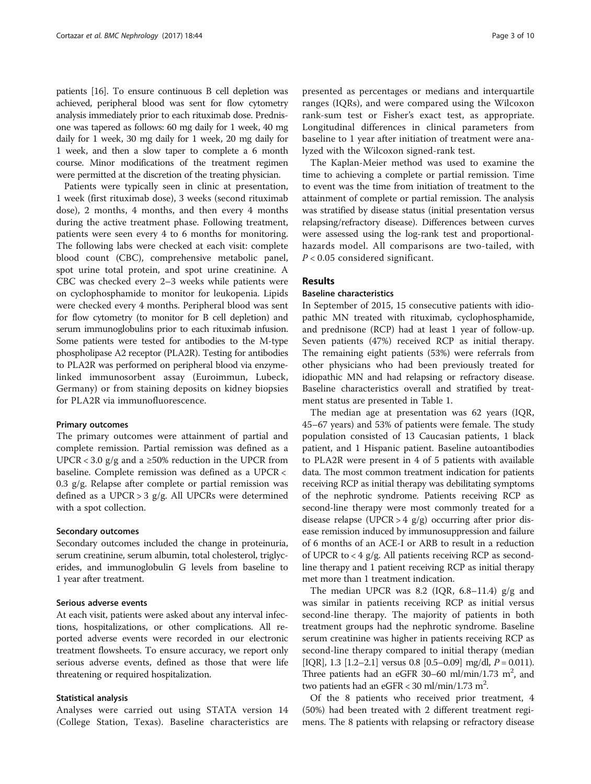patients [[16](#page-8-0)]. To ensure continuous B cell depletion was achieved, peripheral blood was sent for flow cytometry analysis immediately prior to each rituximab dose. Prednisone was tapered as follows: 60 mg daily for 1 week, 40 mg daily for 1 week, 30 mg daily for 1 week, 20 mg daily for 1 week, and then a slow taper to complete a 6 month course. Minor modifications of the treatment regimen were permitted at the discretion of the treating physician.

Patients were typically seen in clinic at presentation, 1 week (first rituximab dose), 3 weeks (second rituximab dose), 2 months, 4 months, and then every 4 months during the active treatment phase. Following treatment, patients were seen every 4 to 6 months for monitoring. The following labs were checked at each visit: complete blood count (CBC), comprehensive metabolic panel, spot urine total protein, and spot urine creatinine. A CBC was checked every 2–3 weeks while patients were on cyclophosphamide to monitor for leukopenia. Lipids were checked every 4 months. Peripheral blood was sent for flow cytometry (to monitor for B cell depletion) and serum immunoglobulins prior to each rituximab infusion. Some patients were tested for antibodies to the M-type phospholipase A2 receptor (PLA2R). Testing for antibodies to PLA2R was performed on peripheral blood via enzymelinked immunosorbent assay (Euroimmun, Lubeck, Germany) or from staining deposits on kidney biopsies for PLA2R via immunofluorescence.

## Primary outcomes

The primary outcomes were attainment of partial and complete remission. Partial remission was defined as a UPCR < 3.0  $g/g$  and a ≥50% reduction in the UPCR from baseline. Complete remission was defined as a UPCR < 0.3 g/g. Relapse after complete or partial remission was defined as a UPCR > 3 g/g. All UPCRs were determined with a spot collection.

## Secondary outcomes

Secondary outcomes included the change in proteinuria, serum creatinine, serum albumin, total cholesterol, triglycerides, and immunoglobulin G levels from baseline to 1 year after treatment.

#### Serious adverse events

At each visit, patients were asked about any interval infections, hospitalizations, or other complications. All reported adverse events were recorded in our electronic treatment flowsheets. To ensure accuracy, we report only serious adverse events, defined as those that were life threatening or required hospitalization.

## Statistical analysis

Analyses were carried out using STATA version 14 (College Station, Texas). Baseline characteristics are

presented as percentages or medians and interquartile ranges (IQRs), and were compared using the Wilcoxon rank-sum test or Fisher's exact test, as appropriate. Longitudinal differences in clinical parameters from baseline to 1 year after initiation of treatment were analyzed with the Wilcoxon signed-rank test.

The Kaplan-Meier method was used to examine the time to achieving a complete or partial remission. Time to event was the time from initiation of treatment to the attainment of complete or partial remission. The analysis was stratified by disease status (initial presentation versus relapsing/refractory disease). Differences between curves were assessed using the log-rank test and proportionalhazards model. All comparisons are two-tailed, with  $P < 0.05$  considered significant.

## Results

## Baseline characteristics

In September of 2015, 15 consecutive patients with idiopathic MN treated with rituximab, cyclophosphamide, and prednisone (RCP) had at least 1 year of follow-up. Seven patients (47%) received RCP as initial therapy. The remaining eight patients (53%) were referrals from other physicians who had been previously treated for idiopathic MN and had relapsing or refractory disease. Baseline characteristics overall and stratified by treatment status are presented in Table [1](#page-3-0).

The median age at presentation was 62 years (IQR, 45–67 years) and 53% of patients were female. The study population consisted of 13 Caucasian patients, 1 black patient, and 1 Hispanic patient. Baseline autoantibodies to PLA2R were present in 4 of 5 patients with available data. The most common treatment indication for patients receiving RCP as initial therapy was debilitating symptoms of the nephrotic syndrome. Patients receiving RCP as second-line therapy were most commonly treated for a disease relapse (UPCR  $> 4$  g/g) occurring after prior disease remission induced by immunosuppression and failure of 6 months of an ACE-I or ARB to result in a reduction of UPCR to < 4 g/g. All patients receiving RCP as secondline therapy and 1 patient receiving RCP as initial therapy met more than 1 treatment indication.

The median UPCR was 8.2 (IQR, 6.8–11.4) g/g and was similar in patients receiving RCP as initial versus second-line therapy. The majority of patients in both treatment groups had the nephrotic syndrome. Baseline serum creatinine was higher in patients receiving RCP as second-line therapy compared to initial therapy (median [IQR], 1.3 [1.2–2.1] versus 0.8 [0.5–0.09] mg/dl,  $P = 0.011$ ). Three patients had an eGFR 30-60 ml/min/1.73  $m^2$ , and two patients had an eGFR <  $30 \text{ ml/min}/1.73 \text{ m}^2$ .

Of the 8 patients who received prior treatment, 4 (50%) had been treated with 2 different treatment regimens. The 8 patients with relapsing or refractory disease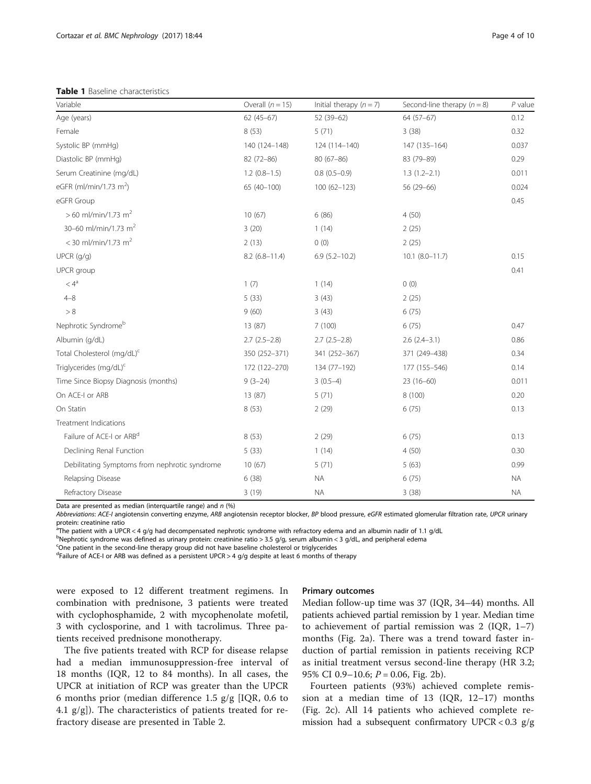<span id="page-3-0"></span>Table 1 Baseline characteristics

| Variable                                      | Overall $(n = 15)$ | Initial therapy $(n = 7)$ | Second-line therapy $(n = 8)$ | $P$ value |
|-----------------------------------------------|--------------------|---------------------------|-------------------------------|-----------|
| Age (years)                                   | $62(45-67)$        | $52(39-62)$               | $64(57-67)$                   | 0.12      |
| Female                                        | 8(53)              | 5(71)                     | 3(38)                         | 0.32      |
| Systolic BP (mmHq)                            | 140 (124-148)      | 124 (114-140)             | 147 (135-164)                 | 0.037     |
| Diastolic BP (mmHg)                           | 82 (72-86)         | $80(67 - 86)$             | 83 (79-89)                    | 0.29      |
| Serum Creatinine (mg/dL)                      | $1.2(0.8-1.5)$     | $0.8(0.5-0.9)$            | $1.3(1.2-2.1)$                | 0.011     |
| eGFR (ml/min/1.73 m <sup>2</sup> )            | 65 (40-100)        | $100(62 - 123)$           | $56(29-66)$                   | 0.024     |
| eGFR Group                                    |                    |                           |                               | 0.45      |
| $>60$ ml/min/1.73 m <sup>2</sup>              | 10(67)             | 6(86)                     | 4(50)                         |           |
| 30-60 ml/min/1.73 m <sup>2</sup>              | 3(20)              | 1(14)                     | 2(25)                         |           |
| < 30 ml/min/1.73 m <sup>2</sup>               | 2(13)              | 0(0)                      | 2(25)                         |           |
| $UPCR$ ( $q/q$ )                              | $8.2(6.8 - 11.4)$  | $6.9(5.2 - 10.2)$         | $10.1 (8.0 - 11.7)$           | 0.15      |
| UPCR group                                    |                    |                           |                               | 0.41      |
| $\langle 4^a$                                 | 1(7)               | 1(14)                     | 0(0)                          |           |
| $4 - 8$                                       | 5(33)              | 3(43)                     | 2(25)                         |           |
| > 8                                           | 9(60)              | 3(43)                     | 6(75)                         |           |
| Nephrotic Syndrome <sup>b</sup>               | 13 (87)            | 7(100)                    | 6(75)                         | 0.47      |
| Albumin (g/dL)                                | $2.7(2.5-2.8)$     | $2.7(2.5-2.8)$            | $2.6(2.4-3.1)$                | 0.86      |
| Total Cholesterol (mg/dL) <sup>c</sup>        | 350 (252-371)      | 341 (252-367)             | 371 (249-438)                 | 0.34      |
| Triglycerides (mg/dL) <sup>c</sup>            | 172 (122-270)      | 134 (77-192)              | 177 (155-546)                 | 0.14      |
| Time Since Biopsy Diagnosis (months)          | $9(3-24)$          | $3(0.5-4)$                | $23(16-60)$                   | 0.011     |
| On ACE-I or ARB                               | 13 (87)            | 5(71)                     | 8 (100)                       | 0.20      |
| On Statin                                     | 8(53)              | 2(29)                     | 6(75)                         | 0.13      |
| Treatment Indications                         |                    |                           |                               |           |
| Failure of ACE-I or ARB <sup>d</sup>          | 8(53)              | 2(29)                     | 6(75)                         | 0.13      |
| Declining Renal Function                      | 5(33)              | 1(14)                     | 4(50)                         | 0.30      |
| Debilitating Symptoms from nephrotic syndrome | 10(67)             | 5(71)                     | 5(63)                         | 0.99      |
| Relapsing Disease                             | 6(38)              | <b>NA</b>                 | 6(75)                         | <b>NA</b> |
| Refractory Disease                            | 3(19)              | <b>NA</b>                 | 3(38)                         | <b>NA</b> |

Data are presented as median (interquartile range) and  $n$  (%)

Abbreviations: ACE-I angiotensin converting enzyme, ARB angiotensin receptor blocker, BP blood pressure, eGFR estimated glomerular filtration rate, UPCR urinary protein: creatinine ratio

<sup>a</sup>The patient with a UPCR < 4 g/g had decompensated nephrotic syndrome with refractory edema and an albumin nadir of 1.1 g/dL

<sup>b</sup>Nephrotic syndrome was defined as urinary protein: creatinine ratio > 3.5 g/g, serum albumin < 3 g/dL, and peripheral edema

<sup>c</sup>One patient in the second-line therapy group did not have baseline cholesterol or triglycerides

<sup>d</sup>Failure of ACE-I or ARB was defined as a persistent UPCR > 4 g/g despite at least 6 months of therapy

were exposed to 12 different treatment regimens. In combination with prednisone, 3 patients were treated with cyclophosphamide, 2 with mycophenolate mofetil, 3 with cyclosporine, and 1 with tacrolimus. Three patients received prednisone monotherapy.

The five patients treated with RCP for disease relapse had a median immunosuppression-free interval of 18 months (IQR, 12 to 84 months). In all cases, the UPCR at initiation of RCP was greater than the UPCR 6 months prior (median difference 1.5 g/g [IQR, 0.6 to 4.1  $g/g$ ]). The characteristics of patients treated for refractory disease are presented in Table [2](#page-4-0).

## Primary outcomes

Median follow-up time was 37 (IQR, 34–44) months. All patients achieved partial remission by 1 year. Median time to achievement of partial remission was 2 (IQR, 1–7) months (Fig. [2a](#page-4-0)). There was a trend toward faster induction of partial remission in patients receiving RCP as initial treatment versus second-line therapy (HR 3.2; 95% CI 0.9-10.6;  $P = 0.06$ , Fig. [2b\)](#page-4-0).

Fourteen patients (93%) achieved complete remission at a median time of 13 (IQR, 12–17) months (Fig. [2c\)](#page-4-0). All 14 patients who achieved complete remission had a subsequent confirmatory UPCR <  $0.3$  g/g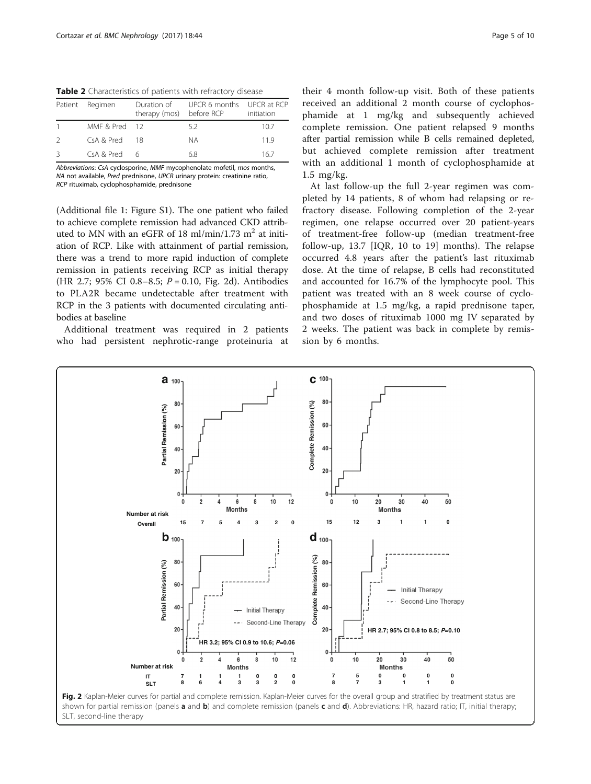<span id="page-4-0"></span>Table 2 Characteristics of patients with refractory disease

|               | Patient Regimen | therapy (mos) before RCP | Duration of UPCR 6 months UPCR at RCP | initiation |
|---------------|-----------------|--------------------------|---------------------------------------|------------|
|               | MMF & Pred 12   |                          | 52                                    | 10.7       |
| $\mathcal{L}$ | $CsA & Pred$ 18 |                          | NА                                    | 119        |
| 3             | CSA & Pred & 6  |                          | 68                                    | 167        |

Abbreviations: CsA cyclosporine, MMF mycophenolate mofetil, mos months, NA not available, Pred prednisone, UPCR urinary protein: creatinine ratio, RCP rituximab, cyclophosphamide, prednisone

(Additional file [1](#page-8-0): Figure S1). The one patient who failed to achieve complete remission had advanced CKD attributed to MN with an eGFR of 18 ml/min/1.73 m<sup>2</sup> at initiation of RCP. Like with attainment of partial remission, there was a trend to more rapid induction of complete remission in patients receiving RCP as initial therapy (HR 2.7; 95% CI 0.8–8.5;  $P = 0.10$ , Fig. 2d). Antibodies to PLA2R became undetectable after treatment with RCP in the 3 patients with documented circulating antibodies at baseline

Additional treatment was required in 2 patients who had persistent nephrotic-range proteinuria at

their 4 month follow-up visit. Both of these patients received an additional 2 month course of cyclophosphamide at 1 mg/kg and subsequently achieved complete remission. One patient relapsed 9 months after partial remission while B cells remained depleted, but achieved complete remission after treatment with an additional 1 month of cyclophosphamide at 1.5 mg/kg.

At last follow-up the full 2-year regimen was completed by 14 patients, 8 of whom had relapsing or refractory disease. Following completion of the 2-year regimen, one relapse occurred over 20 patient-years of treatment-free follow-up (median treatment-free follow-up, 13.7 [IQR, 10 to 19] months). The relapse occurred 4.8 years after the patient's last rituximab dose. At the time of relapse, B cells had reconstituted and accounted for 16.7% of the lymphocyte pool. This patient was treated with an 8 week course of cyclophosphamide at 1.5 mg/kg, a rapid prednisone taper, and two doses of rituximab 1000 mg IV separated by 2 weeks. The patient was back in complete by remission by 6 months.



SLT, second-line therapy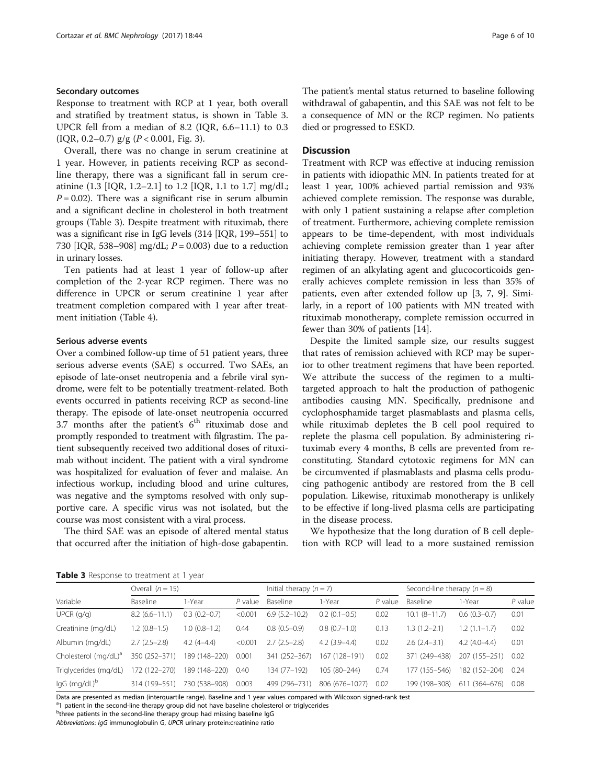## Secondary outcomes

Response to treatment with RCP at 1 year, both overall and stratified by treatment status, is shown in Table 3. UPCR fell from a median of 8.2 (IQR, 6.6–11.1) to 0.3 (IQR, 0.2–0.7)  $g/g$  ( $P < 0.001$ , Fig. [3](#page-6-0)).

Overall, there was no change in serum creatinine at 1 year. However, in patients receiving RCP as secondline therapy, there was a significant fall in serum creatinine (1.3 [IQR, 1.2–2.1] to 1.2 [IQR, 1.1 to 1.7] mg/dL;  $P = 0.02$ ). There was a significant rise in serum albumin and a significant decline in cholesterol in both treatment groups (Table 3). Despite treatment with rituximab, there was a significant rise in IgG levels (314 [IQR, 199–551] to 730 [IQR, 538–908] mg/dL;  $P = 0.003$ ) due to a reduction in urinary losses.

Ten patients had at least 1 year of follow-up after completion of the 2-year RCP regimen. There was no difference in UPCR or serum creatinine 1 year after treatment completion compared with 1 year after treatment initiation (Table [4\)](#page-6-0).

## Serious adverse events

Over a combined follow-up time of 51 patient years, three serious adverse events (SAE) s occurred. Two SAEs, an episode of late-onset neutropenia and a febrile viral syndrome, were felt to be potentially treatment-related. Both events occurred in patients receiving RCP as second-line therapy. The episode of late-onset neutropenia occurred 3.7 months after the patient's  $6<sup>th</sup>$  rituximab dose and promptly responded to treatment with filgrastim. The patient subsequently received two additional doses of rituximab without incident. The patient with a viral syndrome was hospitalized for evaluation of fever and malaise. An infectious workup, including blood and urine cultures, was negative and the symptoms resolved with only supportive care. A specific virus was not isolated, but the course was most consistent with a viral process.

The third SAE was an episode of altered mental status that occurred after the initiation of high-dose gabapentin.

The patient's mental status returned to baseline following withdrawal of gabapentin, and this SAE was not felt to be a consequence of MN or the RCP regimen. No patients died or progressed to ESKD.

## **Discussion**

Treatment with RCP was effective at inducing remission in patients with idiopathic MN. In patients treated for at least 1 year, 100% achieved partial remission and 93% achieved complete remission. The response was durable, with only 1 patient sustaining a relapse after completion of treatment. Furthermore, achieving complete remission appears to be time-dependent, with most individuals achieving complete remission greater than 1 year after initiating therapy. However, treatment with a standard regimen of an alkylating agent and glucocorticoids generally achieves complete remission in less than 35% of patients, even after extended follow up [\[3, 7](#page-8-0), [9\]](#page-8-0). Similarly, in a report of 100 patients with MN treated with rituximab monotherapy, complete remission occurred in fewer than 30% of patients [[14\]](#page-8-0).

Despite the limited sample size, our results suggest that rates of remission achieved with RCP may be superior to other treatment regimens that have been reported. We attribute the success of the regimen to a multitargeted approach to halt the production of pathogenic antibodies causing MN. Specifically, prednisone and cyclophosphamide target plasmablasts and plasma cells, while rituximab depletes the B cell pool required to replete the plasma cell population. By administering rituximab every 4 months, B cells are prevented from reconstituting. Standard cytotoxic regimens for MN can be circumvented if plasmablasts and plasma cells producing pathogenic antibody are restored from the B cell population. Likewise, rituximab monotherapy is unlikely to be effective if long-lived plasma cells are participating in the disease process.

We hypothesize that the long duration of B cell depletion with RCP will lead to a more sustained remission

Table 3 Response to treatment at 1 year

| <b>I WINTED</b> INCORPORATION CONTINUES IN THE VEHICLE IN THE VEHICLE IN THE VEHICLE IN THE VEHICLE IN THE VEHICLE IN THE VEHICLE IN THE VEHICLE IN THE VEHICLE IN THE VEHICLE IN THE VEHICLE IN THE VEHICLE IN THE VEHICLE IN THE |                    |                  |           |                           |                |           |                               |                |           |
|------------------------------------------------------------------------------------------------------------------------------------------------------------------------------------------------------------------------------------|--------------------|------------------|-----------|---------------------------|----------------|-----------|-------------------------------|----------------|-----------|
| Variable                                                                                                                                                                                                                           | Overall $(n = 15)$ |                  |           | Initial therapy $(n = 7)$ |                |           | Second-line therapy $(n = 8)$ |                |           |
|                                                                                                                                                                                                                                    | Baseline           | 1-Year           | $P$ value | Baseline                  | 1-Year         | $P$ value | <b>Baseline</b>               | 1-Year         | $P$ value |
| UPCR(q/q)                                                                                                                                                                                                                          | $8.2(6.6 - 11.1)$  | $0.3(0.2 - 0.7)$ | < 0.001   | $6.9(5.2 - 10.2)$         | $0.2(0.1-0.5)$ | 0.02      | $10.1 (8 - 11.7)$             | $0.6(0.3-0.7)$ | 0.01      |
| Creatinine (mg/dL)                                                                                                                                                                                                                 | $1.2(0.8-1.5)$     | $1.0(0.8-1.2)$   | 0.44      | $0.8(0.5-0.9)$            | $0.8(0.7-1.0)$ | 0.13      | $1.3(1.2-2.1)$                | $1.2(1.1-1.7)$ | 0.02      |
| Albumin (mg/dL)                                                                                                                                                                                                                    | $2.7(2.5-2.8)$     | $4.2(4-4.4)$     | < 0.001   | $2.7(2.5-2.8)$            | $4.2(3.9-4.4)$ | 0.02      | $2.6(2.4-3.1)$                | $4.2(4.0-4.4)$ | 0.01      |
| Cholesterol (mg/dL) <sup>a</sup>                                                                                                                                                                                                   | 350 (252-371)      | 189 (148-220)    | 0.001     | 341 (252-367)             | 167 (128-191)  | 0.02      | 371 (249-438)                 | 207 (155-251)  | 0.02      |
| Triglycerides (mg/dL)                                                                                                                                                                                                              | 172 (122-270)      | 189 (148-220)    | 0.40      | 134 (77-192)              | 105 (80-244)   | 0.74      | 177 (155-546)                 | 182 (152-204)  | 0.24      |
| lgG (mg/dL) <sup>b</sup>                                                                                                                                                                                                           | 314 (199-551)      | 730 (538-908)    | 0.003     | 499 (296-731)             | 806 (676-1027) | 0.02      | 199 (198-308)                 | 611 (364-676)  | 0.08      |

Data are presented as median (interquartile range). Baseline and 1 year values compared with Wilcoxon signed-rank test

<sup>a</sup>1 patient in the second-line therapy group did not have baseline cholesterol or triglycerides

<sup>b</sup>three patients in the second-line therapy group had missing baseline IgG

Abbreviations: IgG immunoglobulin G, UPCR urinary protein:creatinine ratio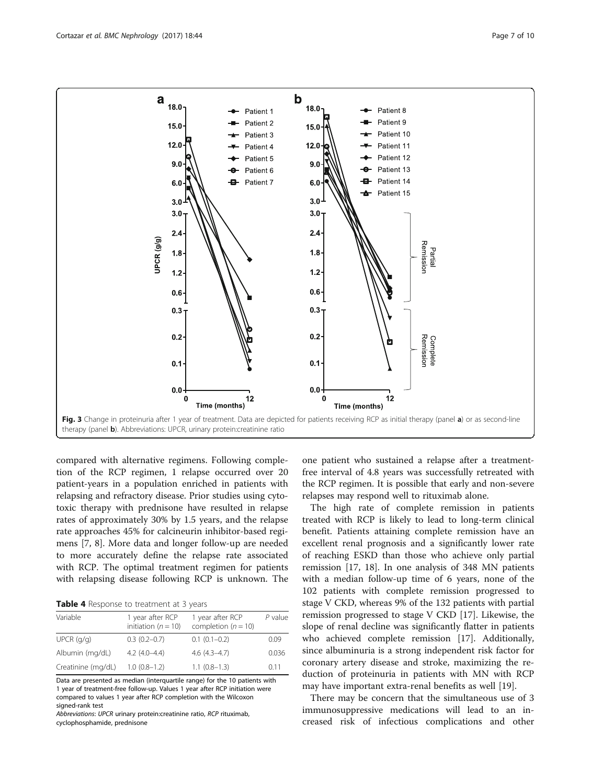<span id="page-6-0"></span>

compared with alternative regimens. Following completion of the RCP regimen, 1 relapse occurred over 20 patient-years in a population enriched in patients with relapsing and refractory disease. Prior studies using cytotoxic therapy with prednisone have resulted in relapse rates of approximately 30% by 1.5 years, and the relapse rate approaches 45% for calcineurin inhibitor-based regimens [\[7, 8](#page-8-0)]. More data and longer follow-up are needed to more accurately define the relapse rate associated with RCP. The optimal treatment regimen for patients with relapsing disease following RCP is unknown. The

Table 4 Response to treatment at 3 years

| Variable           | 1 year after RCP<br>initiation ( $n = 10$ ) | 1 year after RCP<br>completion ( $n = 10$ ) | P value |
|--------------------|---------------------------------------------|---------------------------------------------|---------|
| $UPCR$ ( $q/q$ )   | $0.3(0.2-0.7)$                              | $0.1(0.1-0.2)$                              | 0.09    |
| Albumin (mg/dL)    | $4.2(4.0-4.4)$                              | $4.6(4.3 - 4.7)$                            | 0.036   |
| Creatinine (mg/dL) | $1.0(0.8-1.2)$                              | $1.1(0.8-1.3)$                              | 0.11    |

Data are presented as median (interquartile range) for the 10 patients with 1 year of treatment-free follow-up. Values 1 year after RCP initiation were compared to values 1 year after RCP completion with the Wilcoxon signed-rank test

Abbreviations: UPCR urinary protein:creatinine ratio, RCP rituximab, cyclophosphamide, prednisone

one patient who sustained a relapse after a treatmentfree interval of 4.8 years was successfully retreated with the RCP regimen. It is possible that early and non-severe relapses may respond well to rituximab alone.

The high rate of complete remission in patients treated with RCP is likely to lead to long-term clinical benefit. Patients attaining complete remission have an excellent renal prognosis and a significantly lower rate of reaching ESKD than those who achieve only partial remission [[17](#page-8-0), [18\]](#page-8-0). In one analysis of 348 MN patients with a median follow-up time of 6 years, none of the 102 patients with complete remission progressed to stage V CKD, whereas 9% of the 132 patients with partial remission progressed to stage V CKD [[17\]](#page-8-0). Likewise, the slope of renal decline was significantly flatter in patients who achieved complete remission [\[17](#page-8-0)]. Additionally, since albuminuria is a strong independent risk factor for coronary artery disease and stroke, maximizing the reduction of proteinuria in patients with MN with RCP may have important extra-renal benefits as well [[19\]](#page-8-0).

There may be concern that the simultaneous use of 3 immunosuppressive medications will lead to an increased risk of infectious complications and other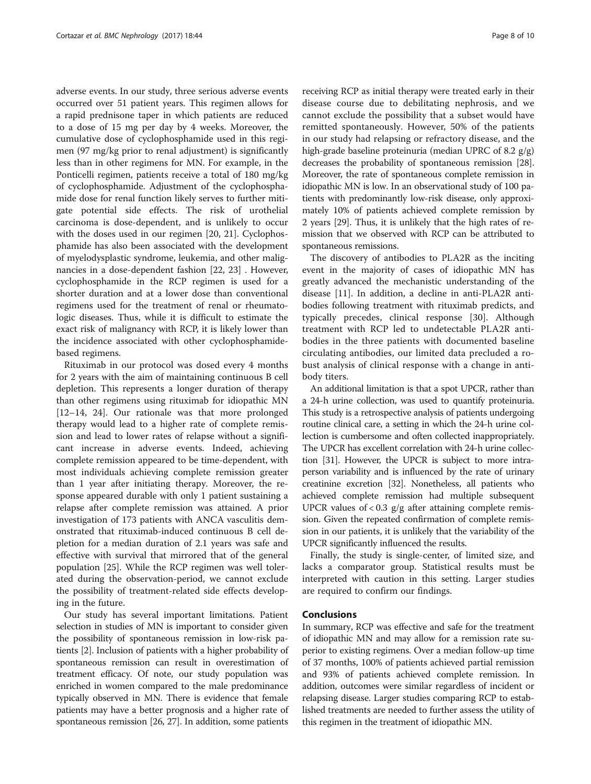adverse events. In our study, three serious adverse events occurred over 51 patient years. This regimen allows for a rapid prednisone taper in which patients are reduced to a dose of 15 mg per day by 4 weeks. Moreover, the cumulative dose of cyclophosphamide used in this regimen (97 mg/kg prior to renal adjustment) is significantly less than in other regimens for MN. For example, in the Ponticelli regimen, patients receive a total of 180 mg/kg of cyclophosphamide. Adjustment of the cyclophosphamide dose for renal function likely serves to further mitigate potential side effects. The risk of urothelial carcinoma is dose-dependent, and is unlikely to occur with the doses used in our regimen [[20](#page-8-0), [21\]](#page-8-0). Cyclophosphamide has also been associated with the development of myelodysplastic syndrome, leukemia, and other malignancies in a dose-dependent fashion [[22, 23](#page-9-0)] . However, cyclophosphamide in the RCP regimen is used for a shorter duration and at a lower dose than conventional regimens used for the treatment of renal or rheumatologic diseases. Thus, while it is difficult to estimate the exact risk of malignancy with RCP, it is likely lower than the incidence associated with other cyclophosphamidebased regimens.

Rituximab in our protocol was dosed every 4 months for 2 years with the aim of maintaining continuous B cell depletion. This represents a longer duration of therapy than other regimens using rituximab for idiopathic MN [[12](#page-8-0)–[14](#page-8-0), [24](#page-9-0)]. Our rationale was that more prolonged therapy would lead to a higher rate of complete remission and lead to lower rates of relapse without a significant increase in adverse events. Indeed, achieving complete remission appeared to be time-dependent, with most individuals achieving complete remission greater than 1 year after initiating therapy. Moreover, the response appeared durable with only 1 patient sustaining a relapse after complete remission was attained. A prior investigation of 173 patients with ANCA vasculitis demonstrated that rituximab-induced continuous B cell depletion for a median duration of 2.1 years was safe and effective with survival that mirrored that of the general population [\[25](#page-9-0)]. While the RCP regimen was well tolerated during the observation-period, we cannot exclude the possibility of treatment-related side effects developing in the future.

Our study has several important limitations. Patient selection in studies of MN is important to consider given the possibility of spontaneous remission in low-risk patients [[2](#page-8-0)]. Inclusion of patients with a higher probability of spontaneous remission can result in overestimation of treatment efficacy. Of note, our study population was enriched in women compared to the male predominance typically observed in MN. There is evidence that female patients may have a better prognosis and a higher rate of spontaneous remission [\[26, 27](#page-9-0)]. In addition, some patients receiving RCP as initial therapy were treated early in their disease course due to debilitating nephrosis, and we cannot exclude the possibility that a subset would have remitted spontaneously. However, 50% of the patients in our study had relapsing or refractory disease, and the high-grade baseline proteinuria (median UPRC of 8.2 g/g) decreases the probability of spontaneous remission [[28](#page-9-0)]. Moreover, the rate of spontaneous complete remission in idiopathic MN is low. In an observational study of 100 patients with predominantly low-risk disease, only approximately 10% of patients achieved complete remission by 2 years [[29](#page-9-0)]. Thus, it is unlikely that the high rates of remission that we observed with RCP can be attributed to spontaneous remissions.

The discovery of antibodies to PLA2R as the inciting event in the majority of cases of idiopathic MN has greatly advanced the mechanistic understanding of the disease [[11\]](#page-8-0). In addition, a decline in anti-PLA2R antibodies following treatment with rituximab predicts, and typically precedes, clinical response [[30\]](#page-9-0). Although treatment with RCP led to undetectable PLA2R antibodies in the three patients with documented baseline circulating antibodies, our limited data precluded a robust analysis of clinical response with a change in antibody titers.

An additional limitation is that a spot UPCR, rather than a 24-h urine collection, was used to quantify proteinuria. This study is a retrospective analysis of patients undergoing routine clinical care, a setting in which the 24-h urine collection is cumbersome and often collected inappropriately. The UPCR has excellent correlation with 24-h urine collection [\[31\]](#page-9-0). However, the UPCR is subject to more intraperson variability and is influenced by the rate of urinary creatinine excretion [\[32\]](#page-9-0). Nonetheless, all patients who achieved complete remission had multiple subsequent UPCR values of  $< 0.3$  g/g after attaining complete remission. Given the repeated confirmation of complete remission in our patients, it is unlikely that the variability of the UPCR significantly influenced the results.

Finally, the study is single-center, of limited size, and lacks a comparator group. Statistical results must be interpreted with caution in this setting. Larger studies are required to confirm our findings.

## Conclusions

In summary, RCP was effective and safe for the treatment of idiopathic MN and may allow for a remission rate superior to existing regimens. Over a median follow-up time of 37 months, 100% of patients achieved partial remission and 93% of patients achieved complete remission. In addition, outcomes were similar regardless of incident or relapsing disease. Larger studies comparing RCP to established treatments are needed to further assess the utility of this regimen in the treatment of idiopathic MN.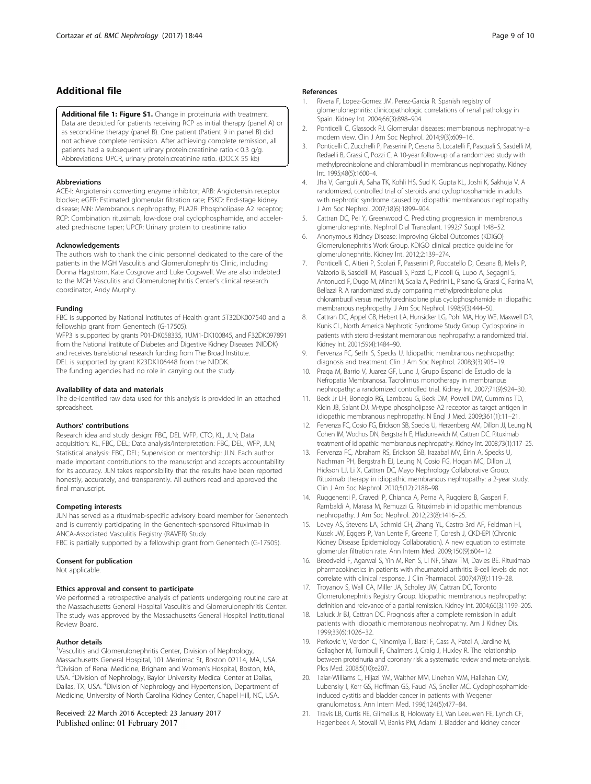## <span id="page-8-0"></span>Additional file

[Additional file 1: Figure S1.](dx.doi.org/10.1186/s12882-017-0459-z) Change in proteinuria with treatment. Data are depicted for patients receiving RCP as initial therapy (panel A) or as second-line therapy (panel B). One patient (Patient 9 in panel B) did not achieve complete remission. After achieving complete remission, all patients had a subsequent urinary protein:creatinine ratio < 0.3 g/g. Abbreviations: UPCR, urinary protein:creatinine ratio. (DOCX 55 kb)

#### Abbreviations

ACE-I: Angiotensin converting enzyme inhibitor; ARB: Angiotensin receptor blocker; eGFR: Estimated glomerular filtration rate; ESKD: End-stage kidney disease; MN: Membranous nephropathy; PLA2R: Phospholipase A2 receptor; RCP: Combination rituximab, low-dose oral cyclophosphamide, and accelerated prednisone taper; UPCR: Urinary protein to creatinine ratio

#### Acknowledgements

The authors wish to thank the clinic personnel dedicated to the care of the patients in the MGH Vasculitis and Glomerulonephritis Clinic, including Donna Hagstrom, Kate Cosgrove and Luke Cogswell. We are also indebted to the MGH Vasculitis and Glomerulonephritis Center's clinical research coordinator, Andy Murphy.

#### Funding

FBC is supported by National Institutes of Health grant 5T32DK007540 and a fellowship grant from Genentech (G-17505).

WFP3 is supported by grants P01-DK058335, 1UM1-DK100845, and F32DK097891 from the National Institute of Diabetes and Digestive Kidney Diseases (NIDDK) and receives translational research funding from The Broad Institute. DEL is supported by grant K23DK106448 from the NIDDK. The funding agencies had no role in carrying out the study.

#### Availability of data and materials

The de-identified raw data used for this analysis is provided in an attached spreadsheet.

#### Authors' contributions

Research idea and study design: FBC, DEL WFP, CTO, KL, JLN; Data acquisition: KL, FBC, DEL; Data analysis/interpretation: FBC, DEL, WFP, JLN; Statistical analysis: FBC, DEL; Supervision or mentorship: JLN. Each author made important contributions to the manuscript and accepts accountability for its accuracy. JLN takes responsibility that the results have been reported honestly, accurately, and transparently. All authors read and approved the final manuscript.

## Competing interests

JLN has served as a rituximab-specific advisory board member for Genentech and is currently participating in the Genentech-sponsored Rituximab in ANCA-Associated Vasculitis Registry (RAVER) Study. FBC is partially supported by a fellowship grant from Genentech (G-17505).

#### Consent for publication

Not applicable.

#### Ethics approval and consent to participate

We performed a retrospective analysis of patients undergoing routine care at the Massachusetts General Hospital Vasculitis and Glomerulonephritis Center. The study was approved by the Massachusetts General Hospital Institutional Review Board.

#### Author details

<sup>1</sup>Vasculitis and Glomerulonephritis Center, Division of Nephrology, Massachusetts General Hospital, 101 Merrimac St, Boston 02114, MA, USA. 2 Division of Renal Medicine, Brigham and Women's Hospital, Boston, MA, USA. <sup>3</sup> Division of Nephrology, Baylor University Medical Center at Dallas, Dallas, TX, USA. <sup>4</sup>Division of Nephrology and Hypertension, Department of Medicine, University of North Carolina Kidney Center, Chapel Hill, NC, USA.

## Received: 22 March 2016 Accepted: 23 January 2017 Published online: 01 February 2017

## References

- Rivera F, Lopez-Gomez JM, Perez-Garcia R. Spanish registry of glomerulonephritis: clinicopathologic correlations of renal pathology in Spain. Kidney Int. 2004;66(3):898–904.
- 2. Ponticelli C, Glassock RJ. Glomerular diseases: membranous nephropathy–a modern view. Clin J Am Soc Nephrol. 2014;9(3):609–16.
- 3. Ponticelli C, Zucchelli P, Passerini P, Cesana B, Locatelli F, Pasquali S, Sasdelli M, Redaelli B, Grassi C, Pozzi C. A 10-year follow-up of a randomized study with methylprednisolone and chlorambucil in membranous nephropathy. Kidney Int. 1995;48(5):1600–4.
- Jha V, Ganguli A, Saha TK, Kohli HS, Sud K, Gupta KL, Joshi K, Sakhuja V. A randomized, controlled trial of steroids and cyclophosphamide in adults with nephrotic syndrome caused by idiopathic membranous nephropathy. J Am Soc Nephrol. 2007;18(6):1899–904.
- 5. Cattran DC, Pei Y, Greenwood C. Predicting progression in membranous glomerulonephritis. Nephrol Dial Transplant. 1992;7 Suppl 1:48–52.
- 6. Anonymous Kidney Disease: Improving Global Outcomes (KDIGO) Glomerulonephritis Work Group. KDIGO clinical practice guideline for glomerulonephritis. Kidney Int. 2012;2:139–274.
- 7. Ponticelli C, Altieri P, Scolari F, Passerini P, Roccatello D, Cesana B, Melis P, Valzorio B, Sasdelli M, Pasquali S, Pozzi C, Piccoli G, Lupo A, Segagni S, Antonucci F, Dugo M, Minari M, Scalia A, Pedrini L, Pisano G, Grassi C, Farina M, Bellazzi R. A randomized study comparing methylprednisolone plus chlorambucil versus methylprednisolone plus cyclophosphamide in idiopathic membranous nephropathy. J Am Soc Nephrol. 1998;9(3):444–50.
- 8. Cattran DC, Appel GB, Hebert LA, Hunsicker LG, Pohl MA, Hoy WE, Maxwell DR, Kunis CL, North America Nephrotic Syndrome Study Group. Cyclosporine in patients with steroid-resistant membranous nephropathy: a randomized trial. Kidney Int. 2001;59(4):1484–90.
- 9. Fervenza FC, Sethi S, Specks U. Idiopathic membranous nephropathy: diagnosis and treatment. Clin J Am Soc Nephrol. 2008;3(3):905–19.
- 10. Praga M, Barrio V, Juarez GF, Luno J, Grupo Espanol de Estudio de la Nefropatia Membranosa. Tacrolimus monotherapy in membranous nephropathy: a randomized controlled trial. Kidney Int. 2007;71(9):924–30.
- 11. Beck Jr LH, Bonegio RG, Lambeau G, Beck DM, Powell DW, Cummins TD, Klein JB, Salant DJ. M-type phospholipase A2 receptor as target antigen in idiopathic membranous nephropathy. N Engl J Med. 2009;361(1):11–21.
- 12. Fervenza FC, Cosio FG, Erickson SB, Specks U, Herzenberg AM, Dillon JJ, Leung N, Cohen IM, Wochos DN, Bergstralh E, Hladunewich M, Cattran DC. Rituximab treatment of idiopathic membranous nephropathy. Kidney Int. 2008;73(1):117–25.
- 13. Fervenza FC, Abraham RS, Erickson SB, Irazabal MV, Eirin A, Specks U, Nachman PH, Bergstralh EJ, Leung N, Cosio FG, Hogan MC, Dillon JJ, Hickson LJ, Li X, Cattran DC, Mayo Nephrology Collaborative Group. Rituximab therapy in idiopathic membranous nephropathy: a 2-year study. Clin J Am Soc Nephrol. 2010;5(12):2188–98.
- 14. Ruggenenti P, Cravedi P, Chianca A, Perna A, Ruggiero B, Gaspari F, Rambaldi A, Marasa M, Remuzzi G. Rituximab in idiopathic membranous nephropathy. J Am Soc Nephrol. 2012;23(8):1416–25.
- 15. Levey AS, Stevens LA, Schmid CH, Zhang YL, Castro 3rd AF, Feldman HI, Kusek JW, Eggers P, Van Lente F, Greene T, Coresh J, CKD-EPI (Chronic Kidney Disease Epidemiology Collaboration). A new equation to estimate glomerular filtration rate. Ann Intern Med. 2009;150(9):604–12.
- 16. Breedveld F, Agarwal S, Yin M, Ren S, Li NF, Shaw TM, Davies BE. Rituximab pharmacokinetics in patients with rheumatoid arthritis: B-cell levels do not correlate with clinical response. J Clin Pharmacol. 2007;47(9):1119–28.
- 17. Troyanov S, Wall CA, Miller JA, Scholey JW, Cattran DC, Toronto Glomerulonephritis Registry Group. Idiopathic membranous nephropathy: definition and relevance of a partial remission. Kidney Int. 2004;66(3):1199–205.
- 18. Laluck Jr BJ, Cattran DC. Prognosis after a complete remission in adult patients with idiopathic membranous nephropathy. Am J Kidney Dis. 1999;33(6):1026–32.
- 19. Perkovic V, Verdon C, Ninomiya T, Barzi F, Cass A, Patel A, Jardine M, Gallagher M, Turnbull F, Chalmers J, Craig J, Huxley R. The relationship between proteinuria and coronary risk: a systematic review and meta-analysis. Plos Med. 2008;5(10):e207.
- 20. Talar-Williams C, Hijazi YM, Walther MM, Linehan WM, Hallahan CW, Lubensky I, Kerr GS, Hoffman GS, Fauci AS, Sneller MC. Cyclophosphamideinduced cystitis and bladder cancer in patients with Wegener granulomatosis. Ann Intern Med. 1996;124(5):477–84.
- 21. Travis LB, Curtis RE, Glimelius B, Holowaty EJ, Van Leeuwen FE, Lynch CF, Hagenbeek A, Stovall M, Banks PM, Adami J. Bladder and kidney cancer